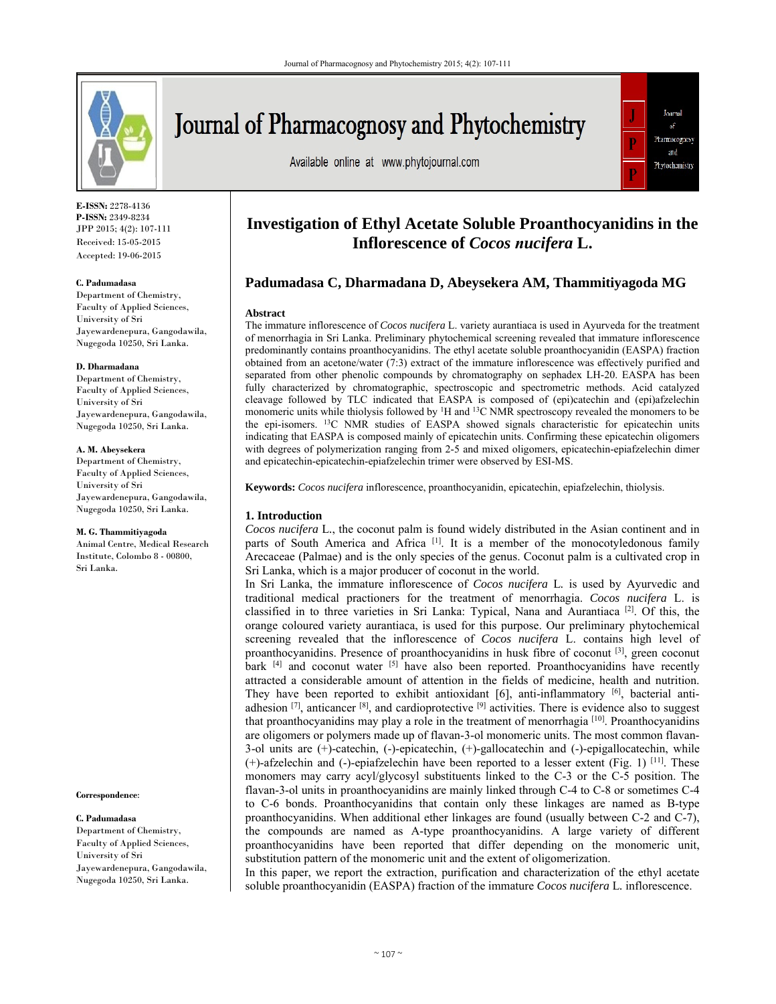

**E-ISSN:** 2278-4136 **P-ISSN:** 2349-8234 JPP 2015; 4(2): 107-111 Received: 15-05-2015 Accepted: 19-06-2015

#### **C. Padumadasa**

Department of Chemistry, Faculty of Applied Sciences, University of Sri Jayewardenepura, Gangodawila, Nugegoda 10250, Sri Lanka.

#### **D. Dharmadana**

Department of Chemistry, Faculty of Applied Sciences, University of Sri Jayewardenepura, Gangodawila, Nugegoda 10250, Sri Lanka.

#### **A. M. Abeysekera**

Department of Chemistry, Faculty of Applied Sciences, University of Sri Jayewardenepura, Gangodawila, Nugegoda 10250, Sri Lanka.

#### **M. G. Thammitiyagoda**

Animal Centre, Medical Research Institute, Colombo 8 - 00800, Sri Lanka.

#### **Correspondence**:

#### **C. Padumadasa**

Department of Chemistry, Faculty of Applied Sciences, University of Sri Jayewardenepura, Gangodawila, Nugegoda 10250, Sri Lanka.

Journal of Pharmacognosy and Phytochemistry

Available online at www.phytojournal.com



# **Investigation of Ethyl Acetate Soluble Proanthocyanidins in the Inflorescence of** *Cocos nucifera* **L.**

# **Padumadasa C, Dharmadana D, Abeysekera AM, Thammitiyagoda MG**

#### **Abstract**

The immature inflorescence of *Cocos nucifera* L. variety aurantiaca is used in Ayurveda for the treatment of menorrhagia in Sri Lanka. Preliminary phytochemical screening revealed that immature inflorescence predominantly contains proanthocyanidins. The ethyl acetate soluble proanthocyanidin (EASPA) fraction obtained from an acetone/water (7:3) extract of the immature inflorescence was effectively purified and separated from other phenolic compounds by chromatography on sephadex LH-20. EASPA has been fully characterized by chromatographic, spectroscopic and spectrometric methods. Acid catalyzed cleavage followed by TLC indicated that EASPA is composed of (epi)catechin and (epi)afzelechin monomeric units while thiolysis followed by <sup>1</sup>H and <sup>13</sup>C NMR spectroscopy revealed the monomers to be the epi-isomers. 13C NMR studies of EASPA showed signals characteristic for epicatechin units indicating that EASPA is composed mainly of epicatechin units. Confirming these epicatechin oligomers with degrees of polymerization ranging from 2-5 and mixed oligomers, epicatechin-epiafzelechin dimer and epicatechin-epicatechin-epiafzelechin trimer were observed by ESI-MS.

**Keywords:** *Cocos nucifera* inflorescence, proanthocyanidin, epicatechin, epiafzelechin, thiolysis.

## **1. Introduction**

*Cocos nucifera* L*.*, the coconut palm is found widely distributed in the Asian continent and in parts of South America and Africa<sup>[1]</sup>. It is a member of the monocotyledonous family Arecaceae (Palmae) and is the only species of the genus. Coconut palm is a cultivated crop in Sri Lanka, which is a major producer of coconut in the world.

In Sri Lanka, the immature inflorescence of *Cocos nucifera* L*.* is used by Ayurvedic and traditional medical practioners for the treatment of menorrhagia. *Cocos nucifera* L. is classified in to three varieties in Sri Lanka: Typical, Nana and Aurantiaca<sup>[2]</sup>. Of this, the orange coloured variety aurantiaca, is used for this purpose. Our preliminary phytochemical screening revealed that the inflorescence of *Cocos nucifera* L. contains high level of proanthocyanidins. Presence of proanthocyanidins in husk fibre of coconut  $[3]$ , green coconut bark  $[4]$  and coconut water  $[5]$  have also been reported. Proanthocyanidins have recently attracted a considerable amount of attention in the fields of medicine, health and nutrition. They have been reported to exhibit antioxidant  $[6]$ , anti-inflammatory  $[6]$ , bacterial antiadhesion  $^{[7]}$ , anticancer  $^{[8]}$ , and cardioprotective  $^{[9]}$  activities. There is evidence also to suggest that proanthocyanidins may play a role in the treatment of menorrhagia  $[10]$ . Proanthocyanidins are oligomers or polymers made up of flavan-3-ol monomeric units. The most common flavan-3-ol units are (+)-catechin, (-)-epicatechin, (+)-gallocatechin and (-)-epigallocatechin, while  $(+)$ -afzelechin and  $(-)$ -epiafzelechin have been reported to a lesser extent (Fig. 1) [11]. These monomers may carry acyl/glycosyl substituents linked to the C-3 or the C-5 position. The flavan-3-ol units in proanthocyanidins are mainly linked through C-4 to C-8 or sometimes C-4 to C-6 bonds. Proanthocyanidins that contain only these linkages are named as B-type proanthocyanidins. When additional ether linkages are found (usually between C-2 and C-7), the compounds are named as A-type proanthocyanidins. A large variety of different proanthocyanidins have been reported that differ depending on the monomeric unit, substitution pattern of the monomeric unit and the extent of oligomerization.

In this paper, we report the extraction, purification and characterization of the ethyl acetate soluble proanthocyanidin (EASPA) fraction of the immature *Cocos nucifera* L*.* inflorescence.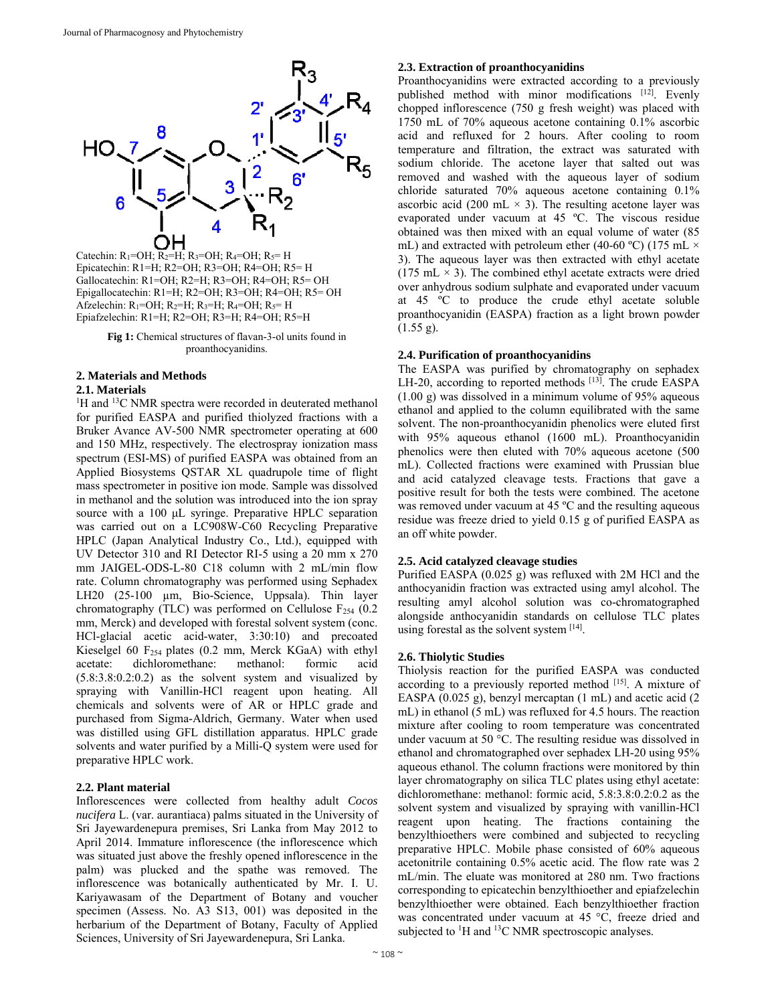

Catechin:  $R_1=OH$ ;  $R_2=H$ ;  $R_3=OH$ ;  $R_4=OH$ ;  $R_5=H$ Epicatechin: R1=H; R2=OH; R3=OH; R4=OH; R5= H Gallocatechin: R1=OH; R2=H; R3=OH; R4=OH; R5= OH Epigallocatechin: R1=H; R2=OH; R3=OH; R4=OH; R5= OH Afzelechin:  $R_1=OH$ ;  $R_2=H$ ;  $R_3=H$ ;  $R_4=OH$ ;  $R_5=H$ Epiafzelechin: R1=H; R2=OH; R3=H; R4=OH; R5=H

Fig 1: Chemical structures of flavan-3-ol units found in proanthocyanidins.

# **2. Materials and Methods**

## **2.1. Materials**

<sup>1</sup>H and <sup>13</sup>C NMR spectra were recorded in deuterated methanol for purified EASPA and purified thiolyzed fractions with a Bruker Avance AV-500 NMR spectrometer operating at 600 and 150 MHz, respectively. The electrospray ionization mass spectrum (ESI-MS) of purified EASPA was obtained from an Applied Biosystems QSTAR XL quadrupole time of flight mass spectrometer in positive ion mode. Sample was dissolved in methanol and the solution was introduced into the ion spray source with a 100 μL syringe. Preparative HPLC separation was carried out on a LC908W-C60 Recycling Preparative HPLC (Japan Analytical Industry Co., Ltd.), equipped with UV Detector 310 and RI Detector RI-5 using a 20 mm x 270 mm JAIGEL-ODS-L-80 C18 column with 2 mL/min flow rate. Column chromatography was performed using Sephadex LH20 (25-100 µm, Bio-Science, Uppsala). Thin layer chromatography (TLC) was performed on Cellulose  $F_{254}$  (0.2) mm, Merck) and developed with forestal solvent system (conc. HCl-glacial acetic acid-water, 3:30:10) and precoated Kieselgel 60 F<sub>254</sub> plates (0.2 mm, Merck KGaA) with ethyl acetate: dichloromethane: methanol: formic acid (5.8:3.8:0.2:0.2) as the solvent system and visualized by spraying with Vanillin-HCl reagent upon heating. All chemicals and solvents were of AR or HPLC grade and purchased from Sigma-Aldrich, Germany. Water when used was distilled using GFL distillation apparatus. HPLC grade solvents and water purified by a Milli-Q system were used for preparative HPLC work.

## **2.2. Plant material**

Inflorescences were collected from healthy adult *Cocos nucifera* L. (var. aurantiaca) palms situated in the University of Sri Jayewardenepura premises, Sri Lanka from May 2012 to April 2014. Immature inflorescence (the inflorescence which was situated just above the freshly opened inflorescence in the palm) was plucked and the spathe was removed. The inflorescence was botanically authenticated by Mr. I. U. Kariyawasam of the Department of Botany and voucher specimen (Assess. No. A3 S13, 001) was deposited in the herbarium of the Department of Botany, Faculty of Applied Sciences, University of Sri Jayewardenepura, Sri Lanka.

## **2.3. Extraction of proanthocyanidins**

Proanthocyanidins were extracted according to a previously published method with minor modifications [12]. Evenly chopped inflorescence (750 g fresh weight) was placed with 1750 mL of 70% aqueous acetone containing 0.1% ascorbic acid and refluxed for 2 hours. After cooling to room temperature and filtration, the extract was saturated with sodium chloride. The acetone layer that salted out was removed and washed with the aqueous layer of sodium chloride saturated 70% aqueous acetone containing 0.1% ascorbic acid (200 mL  $\times$  3). The resulting acetone layer was evaporated under vacuum at 45 ºC. The viscous residue obtained was then mixed with an equal volume of water (85 mL) and extracted with petroleum ether (40-60 °C) (175 mL  $\times$ 3). The aqueous layer was then extracted with ethyl acetate (175 mL  $\times$  3). The combined ethyl acetate extracts were dried over anhydrous sodium sulphate and evaporated under vacuum at 45 ºC to produce the crude ethyl acetate soluble proanthocyanidin (EASPA) fraction as a light brown powder  $(1.55 g)$ .

## **2.4. Purification of proanthocyanidins**

The EASPA was purified by chromatography on sephadex LH-20, according to reported methods [13]. The crude EASPA (1.00 g) was dissolved in a minimum volume of 95% aqueous ethanol and applied to the column equilibrated with the same solvent. The non-proanthocyanidin phenolics were eluted first with 95% aqueous ethanol (1600 mL). Proanthocyanidin phenolics were then eluted with 70% aqueous acetone (500 mL). Collected fractions were examined with Prussian blue and acid catalyzed cleavage tests. Fractions that gave a positive result for both the tests were combined. The acetone was removed under vacuum at 45 °C and the resulting aqueous residue was freeze dried to yield 0.15 g of purified EASPA as an off white powder.

## **2.5. Acid catalyzed cleavage studies**

Purified EASPA (0.025 g) was refluxed with 2M HCl and the anthocyanidin fraction was extracted using amyl alcohol. The resulting amyl alcohol solution was co-chromatographed alongside anthocyanidin standards on cellulose TLC plates using forestal as the solvent system [14].

## **2.6. Thiolytic Studies**

Thiolysis reaction for the purified EASPA was conducted according to a previously reported method [15]. A mixture of EASPA (0.025 g), benzyl mercaptan (1 mL) and acetic acid (2 mL) in ethanol (5 mL) was refluxed for 4.5 hours. The reaction mixture after cooling to room temperature was concentrated under vacuum at 50 °C. The resulting residue was dissolved in ethanol and chromatographed over sephadex LH-20 using 95% aqueous ethanol. The column fractions were monitored by thin layer chromatography on silica TLC plates using ethyl acetate: dichloromethane: methanol: formic acid, 5.8:3.8:0.2:0.2 as the solvent system and visualized by spraying with vanillin-HCl reagent upon heating. The fractions containing the benzylthioethers were combined and subjected to recycling preparative HPLC. Mobile phase consisted of 60% aqueous acetonitrile containing 0.5% acetic acid. The flow rate was 2 mL/min. The eluate was monitored at 280 nm. Two fractions corresponding to epicatechin benzylthioether and epiafzelechin benzylthioether were obtained. Each benzylthioether fraction was concentrated under vacuum at 45 °C, freeze dried and subjected to  ${}^{1}$ H and  ${}^{13}$ C NMR spectroscopic analyses.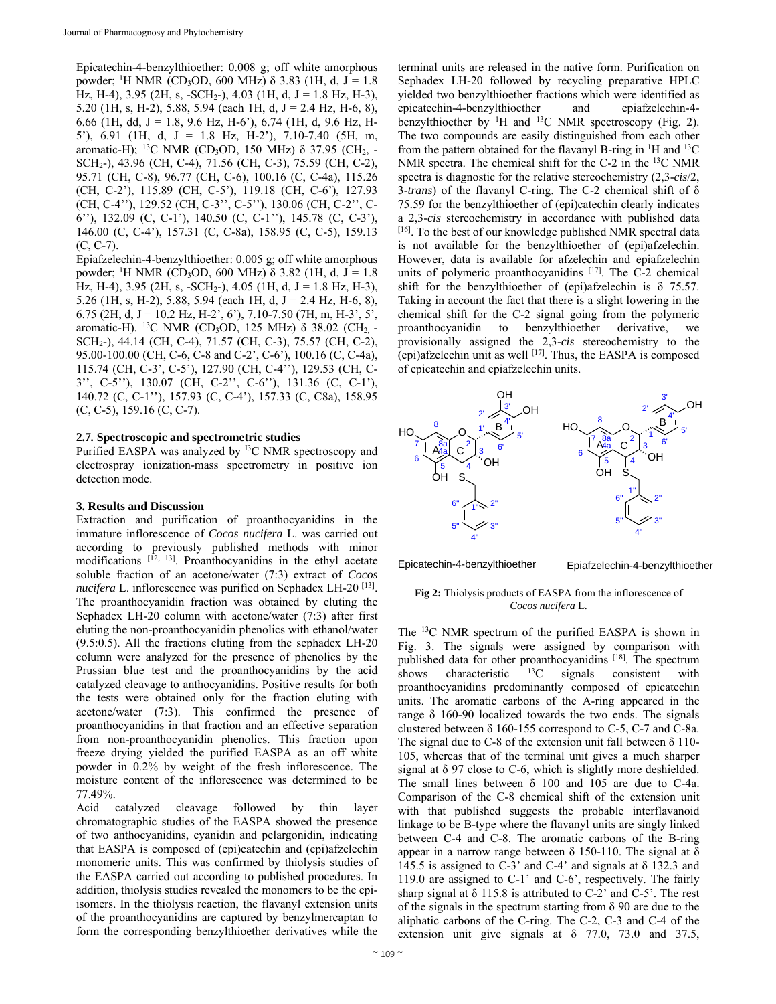Epicatechin-4-benzylthioether: 0.008 g; off white amorphous powder; <sup>1</sup>H NMR (CD<sub>3</sub>OD, 600 MHz) δ 3.83 (1H, d, J = 1.8 Hz, H-4), 3.95 (2H, s, -SCH<sub>2</sub>-), 4.03 (1H, d, J = 1.8 Hz, H-3), 5.20 (1H, s, H-2), 5.88, 5.94 (each 1H, d,  $J = 2.4$  Hz, H-6, 8), 6.66 (1H, dd, J = 1.8, 9.6 Hz, H-6'), 6.74 (1H, d, 9.6 Hz, H-5'), 6.91 (1H, d, J = 1.8 Hz, H-2'), 7.10-7.40 (5H, m, aromatic-H); 13C NMR (CD3OD, 150 MHz) δ 37.95 (CH2, - SCH2-), 43.96 (CH, C-4), 71.56 (CH, C-3), 75.59 (CH, C-2), 95.71 (CH, C-8), 96.77 (CH, C-6), 100.16 (C, C-4a), 115.26 (CH, C-2'), 115.89 (CH, C-5'), 119.18 (CH, C-6'), 127.93 (CH, C-4''), 129.52 (CH, C-3'', C-5''), 130.06 (CH, C-2'', C-6''), 132.09 (C, C-1'), 140.50 (C, C-1''), 145.78 (C, C-3'), 146.00 (C, C-4'), 157.31 (C, C-8a), 158.95 (C, C-5), 159.13  $(C, C-7)$ .

Epiafzelechin-4-benzylthioether: 0.005 g; off white amorphous powder; <sup>1</sup>H NMR (CD<sub>3</sub>OD, 600 MHz) δ 3.82 (1H, d, J = 1.8 Hz, H-4), 3.95 (2H, s, -SCH<sub>2</sub>-), 4.05 (1H, d, J = 1.8 Hz, H-3), 5.26 (1H, s, H-2), 5.88, 5.94 (each 1H, d,  $J = 2.4$  Hz, H-6, 8), 6.75 (2H, d, J = 10.2 Hz, H-2', 6'), 7.10-7.50 (7H, m, H-3', 5', aromatic-H). <sup>13</sup>C NMR (CD<sub>3</sub>OD, 125 MHz)  $\delta$  38.02 (CH<sub>2</sub> -SCH2-), 44.14 (CH, C-4), 71.57 (CH, C-3), 75.57 (CH, C-2), 95.00-100.00 (CH, C-6, C-8 and C-2', C-6'), 100.16 (C, C-4a), 115.74 (CH, C-3', C-5'), 127.90 (CH, C-4''), 129.53 (CH, C-3'', C-5''), 130.07 (CH, C-2'', C-6''), 131.36 (C, C-1'), 140.72 (C, C-1''), 157.93 (C, C-4'), 157.33 (C, C8a), 158.95 (C, C-5), 159.16 (C, C-7).

## **2.7***.* **Spectroscopic and spectrometric studies**

Purified EASPA was analyzed by <sup>13</sup>C NMR spectroscopy and electrospray ionization-mass spectrometry in positive ion detection mode.

## **3. Results and Discussion**

Extraction and purification of proanthocyanidins in the immature inflorescence of *Cocos nucifera* L. was carried out according to previously published methods with minor modifications [12, 13]. Proanthocyanidins in the ethyl acetate soluble fraction of an acetone/water (7:3) extract of *Cocos nucifera* L. inflorescence was purified on Sephadex LH-20<sup>[13]</sup>. The proanthocyanidin fraction was obtained by eluting the Sephadex LH-20 column with acetone/water (7:3) after first eluting the non-proanthocyanidin phenolics with ethanol/water (9.5:0.5). All the fractions eluting from the sephadex LH-20 column were analyzed for the presence of phenolics by the Prussian blue test and the proanthocyanidins by the acid catalyzed cleavage to anthocyanidins. Positive results for both the tests were obtained only for the fraction eluting with acetone/water (7:3). This confirmed the presence of proanthocyanidins in that fraction and an effective separation from non-proanthocyanidin phenolics. This fraction upon freeze drying yielded the purified EASPA as an off white powder in 0.2% by weight of the fresh inflorescence. The moisture content of the inflorescence was determined to be 77.49%.

Acid catalyzed cleavage followed by thin layer chromatographic studies of the EASPA showed the presence of two anthocyanidins, cyanidin and pelargonidin, indicating that EASPA is composed of (epi)catechin and (epi)afzelechin monomeric units. This was confirmed by thiolysis studies of the EASPA carried out according to published procedures. In addition, thiolysis studies revealed the monomers to be the epiisomers. In the thiolysis reaction, the flavanyl extension units of the proanthocyanidins are captured by benzylmercaptan to form the corresponding benzylthioether derivatives while the

terminal units are released in the native form. Purification on Sephadex LH-20 followed by recycling preparative HPLC yielded two benzylthioether fractions which were identified as epicatechin-4-benzylthioether and epiafzelechin-4 benzylthioether by <sup>1</sup>H and <sup>13</sup>C NMR spectroscopy (Fig. 2). The two compounds are easily distinguished from each other from the pattern obtained for the flavanyl B-ring in  $\mathrm{^{1}H}$  and  $\mathrm{^{13}C}$ NMR spectra. The chemical shift for the  $C-2$  in the  $^{13}C$  NMR spectra is diagnostic for the relative stereochemistry (2,3-*cis*/2, 3-*trans*) of the flavanyl C-ring. The C-2 chemical shift of δ 75.59 for the benzylthioether of (epi)catechin clearly indicates a 2,3-*cis* stereochemistry in accordance with published data [16]. To the best of our knowledge published NMR spectral data is not available for the benzylthioether of (epi)afzelechin. However, data is available for afzelechin and epiafzelechin units of polymeric proanthocyanidins  $[17]$ . The C-2 chemical shift for the benzylthioether of (epi)afzelechin is  $\delta$  75.57. Taking in account the fact that there is a slight lowering in the chemical shift for the C-2 signal going from the polymeric proanthocyanidin to benzylthioether derivative, we provisionally assigned the 2,3-*cis* stereochemistry to the (epi)afzelechin unit as well  $[17]$ . Thus, the EASPA is composed of epicatechin and epiafzelechin units.



Epicatechin-4-benzylthioether

Epiafzelechin-4-benzylthioether

#### **Fig 2:** Thiolysis products of EASPA from the inflorescence of *Cocos nucifera* L.

The 13C NMR spectrum of the purified EASPA is shown in Fig. 3. The signals were assigned by comparison with published data for other proanthocyanidins [18]. The spectrum shows characteristic  $^{13}$ C signals consistent with proanthocyanidins predominantly composed of epicatechin units. The aromatic carbons of the A-ring appeared in the range δ 160-90 localized towards the two ends. The signals clustered between  $\delta$  160-155 correspond to C-5, C-7 and C-8a. The signal due to C-8 of the extension unit fall between  $\delta$  110-105, whereas that of the terminal unit gives a much sharper signal at δ 97 close to C-6, which is slightly more deshielded. The small lines between  $\delta$  100 and 105 are due to C-4a. Comparison of the C-8 chemical shift of the extension unit with that published suggests the probable interflavanoid linkage to be B-type where the flavanyl units are singly linked between C-4 and C-8. The aromatic carbons of the B-ring appear in a narrow range between  $\delta$  150-110. The signal at  $\delta$ 145.5 is assigned to  $C-3$ ' and  $C-4$ ' and signals at  $\delta$  132.3 and 119.0 are assigned to C-1' and C-6', respectively. The fairly sharp signal at  $\delta$  115.8 is attributed to C-2' and C-5'. The rest of the signals in the spectrum starting from  $\delta$  90 are due to the aliphatic carbons of the C-ring. The C-2, C-3 and C-4 of the extension unit give signals at  $\delta$  77.0, 73.0 and 37.5,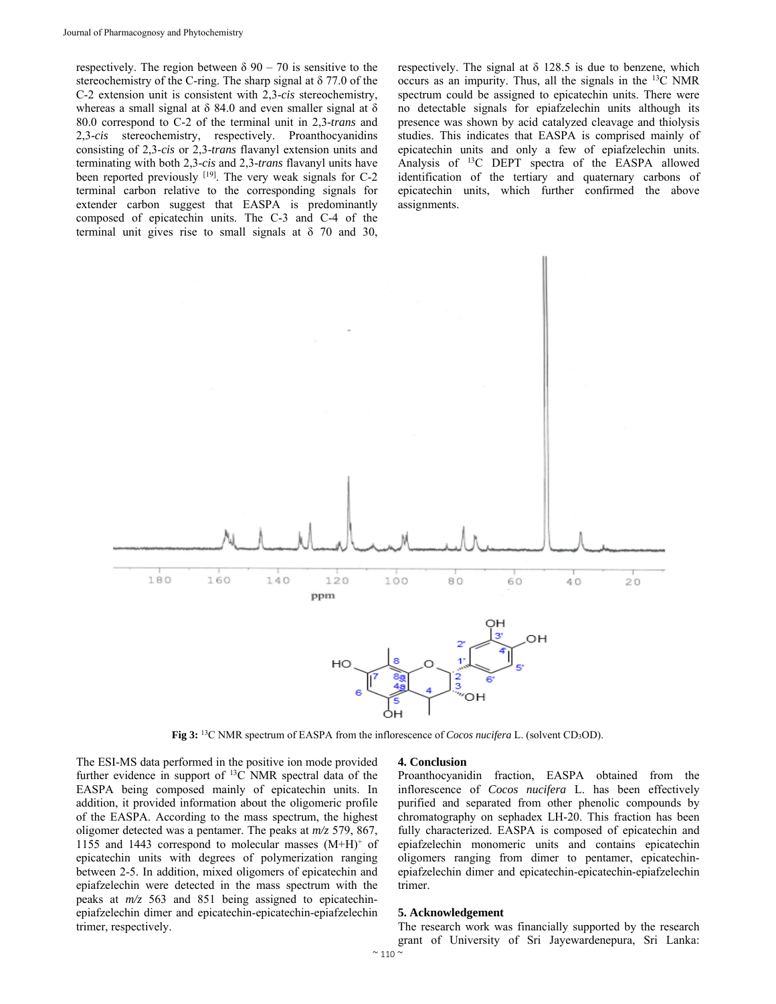respectively. The region between  $\delta$  90 – 70 is sensitive to the stereochemistry of the C-ring. The sharp signal at δ 77.0 of the C-2 extension unit is consistent with 2,3-*cis* stereochemistry, whereas a small signal at  $\delta$  84.0 and even smaller signal at  $\delta$ 80.0 correspond to C-2 of the terminal unit in 2,3-*trans* and 2,3-*cis* stereochemistry, respectively. Proanthocyanidins consisting of 2,3-*cis* or 2,3-*trans* flavanyl extension units and terminating with both 2,3-*cis* and 2,3-*trans* flavanyl units have been reported previously  $[19]$ . The very weak signals for C-2 terminal carbon relative to the corresponding signals for extender carbon suggest that EASPA is predominantly composed of epicatechin units. The C-3 and C-4 of the terminal unit gives rise to small signals at  $\delta$  70 and 30,

respectively. The signal at  $\delta$  128.5 is due to benzene, which occurs as an impurity. Thus, all the signals in the 13C NMR spectrum could be assigned to epicatechin units. There were no detectable signals for epiafzelechin units although its presence was shown by acid catalyzed cleavage and thiolysis studies. This indicates that EASPA is comprised mainly of epicatechin units and only a few of epiafzelechin units. Analysis of 13C DEPT spectra of the EASPA allowed identification of the tertiary and quaternary carbons of epicatechin units, which further confirmed the above assignments.



**Fig 3:** 13C NMR spectrum of EASPA from the inflorescence of *Cocos nucifera* L. (solvent CD3OD).

The ESI-MS data performed in the positive ion mode provided further evidence in support of 13C NMR spectral data of the EASPA being composed mainly of epicatechin units. In addition, it provided information about the oligomeric profile of the EASPA. According to the mass spectrum, the highest oligomer detected was a pentamer. The peaks at *m/z* 579, 867, 1155 and 1443 correspond to molecular masses  $(M+H)^+$  of epicatechin units with degrees of polymerization ranging between 2-5. In addition, mixed oligomers of epicatechin and epiafzelechin were detected in the mass spectrum with the peaks at *m/z* 563 and 851 being assigned to epicatechinepiafzelechin dimer and epicatechin-epicatechin-epiafzelechin trimer, respectively.

#### **4. Conclusion**

Proanthocyanidin fraction, EASPA obtained from the inflorescence of *Cocos nucifera* L. has been effectively purified and separated from other phenolic compounds by chromatography on sephadex LH-20. This fraction has been fully characterized. EASPA is composed of epicatechin and epiafzelechin monomeric units and contains epicatechin oligomers ranging from dimer to pentamer, epicatechinepiafzelechin dimer and epicatechin-epicatechin-epiafzelechin trimer.

## **5. Acknowledgement**

The research work was financially supported by the research grant of University of Sri Jayewardenepura, Sri Lanka: